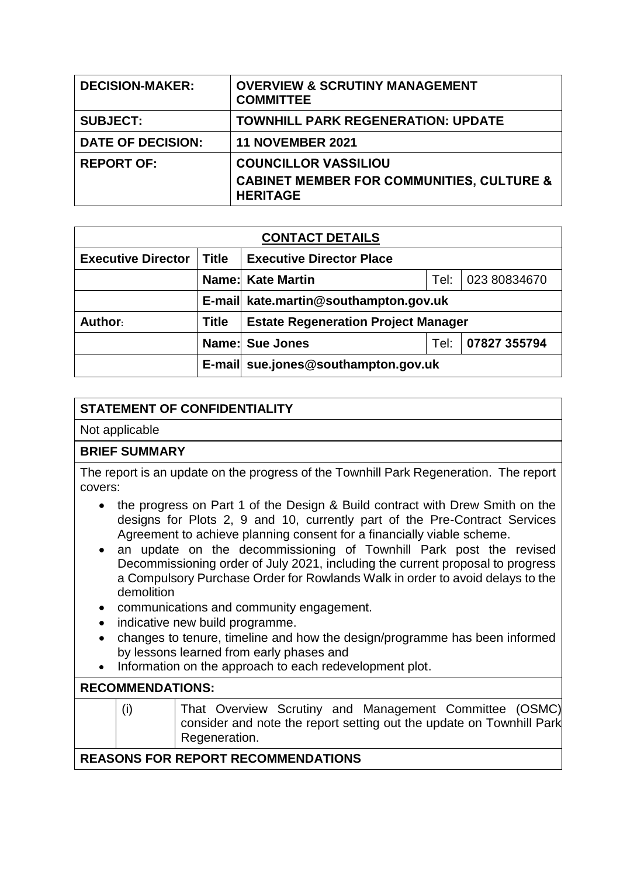| <b>DECISION-MAKER:</b>   | <b>OVERVIEW &amp; SCRUTINY MANAGEMENT</b><br><b>COMMITTEE</b>                                          |
|--------------------------|--------------------------------------------------------------------------------------------------------|
| <b>SUBJECT:</b>          | <b>TOWNHILL PARK REGENERATION: UPDATE</b>                                                              |
| <b>DATE OF DECISION:</b> | <b>11 NOVEMBER 2021</b>                                                                                |
| <b>REPORT OF:</b>        | <b>COUNCILLOR VASSILIOU</b><br><b>CABINET MEMBER FOR COMMUNITIES, CULTURE &amp;</b><br><b>HERITAGE</b> |

| <b>CONTACT DETAILS</b>    |              |                                                  |      |              |  |  |
|---------------------------|--------------|--------------------------------------------------|------|--------------|--|--|
| <b>Executive Director</b> | Title        | <b>Executive Director Place</b>                  |      |              |  |  |
|                           |              | <b>Name: Kate Martin</b><br>Tel:<br>023 80834670 |      |              |  |  |
|                           |              | E-mail kate.martin@southampton.gov.uk            |      |              |  |  |
| Author:                   | <b>Title</b> | <b>Estate Regeneration Project Manager</b>       |      |              |  |  |
|                           |              | <b>Name: Sue Jones</b>                           | Tel: | 07827 355794 |  |  |
|                           |              | E-mail sue.jones@southampton.gov.uk              |      |              |  |  |

## **STATEMENT OF CONFIDENTIALITY**

Not applicable

### **BRIEF SUMMARY**

The report is an update on the progress of the Townhill Park Regeneration. The report covers:

- the progress on Part 1 of the Design & Build contract with Drew Smith on the designs for Plots 2, 9 and 10, currently part of the Pre-Contract Services Agreement to achieve planning consent for a financially viable scheme.
- an update on the decommissioning of Townhill Park post the revised Decommissioning order of July 2021, including the current proposal to progress a Compulsory Purchase Order for Rowlands Walk in order to avoid delays to the demolition
- communications and community engagement.
- indicative new build programme.
- changes to tenure, timeline and how the design/programme has been informed by lessons learned from early phases and
- Information on the approach to each redevelopment plot.

### **RECOMMENDATIONS:**

|  | (i) | That Overview Scrutiny and Management Committee (OSMC)                                |  |  |  |  |
|--|-----|---------------------------------------------------------------------------------------|--|--|--|--|
|  |     | consider and note the report setting out the update on Townhill Park<br>Regeneration. |  |  |  |  |
|  |     |                                                                                       |  |  |  |  |

### **REASONS FOR REPORT RECOMMENDATIONS**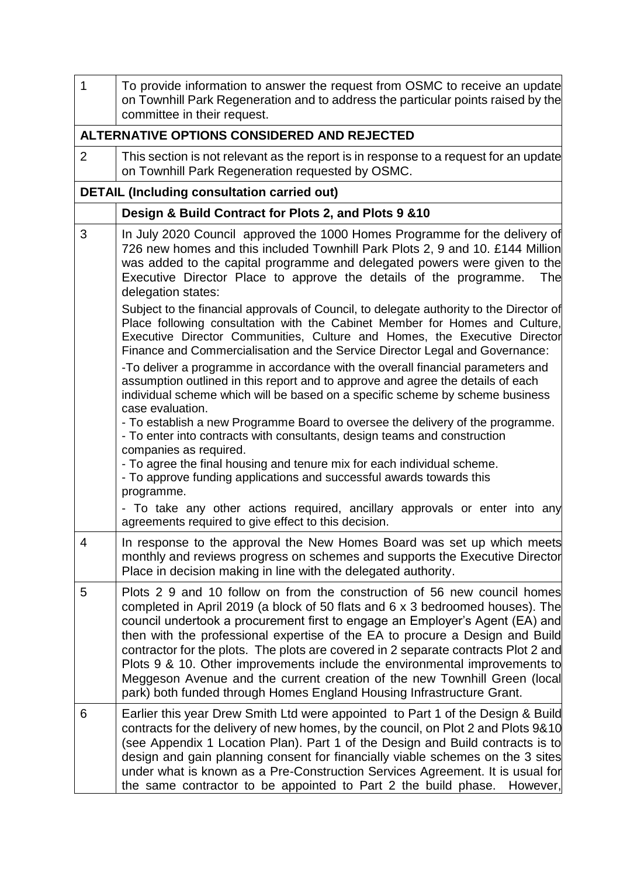| 1              | To provide information to answer the request from OSMC to receive an update<br>on Townhill Park Regeneration and to address the particular points raised by the<br>committee in their request.                                                                                                                                                                                                                                                                                                                                                                                                                                                      |  |  |  |  |
|----------------|-----------------------------------------------------------------------------------------------------------------------------------------------------------------------------------------------------------------------------------------------------------------------------------------------------------------------------------------------------------------------------------------------------------------------------------------------------------------------------------------------------------------------------------------------------------------------------------------------------------------------------------------------------|--|--|--|--|
|                | ALTERNATIVE OPTIONS CONSIDERED AND REJECTED                                                                                                                                                                                                                                                                                                                                                                                                                                                                                                                                                                                                         |  |  |  |  |
| $\overline{2}$ | This section is not relevant as the report is in response to a request for an update<br>on Townhill Park Regeneration requested by OSMC.                                                                                                                                                                                                                                                                                                                                                                                                                                                                                                            |  |  |  |  |
|                | <b>DETAIL (Including consultation carried out)</b>                                                                                                                                                                                                                                                                                                                                                                                                                                                                                                                                                                                                  |  |  |  |  |
|                | Design & Build Contract for Plots 2, and Plots 9 & 10                                                                                                                                                                                                                                                                                                                                                                                                                                                                                                                                                                                               |  |  |  |  |
| 3              | In July 2020 Council approved the 1000 Homes Programme for the delivery of<br>726 new homes and this included Townhill Park Plots 2, 9 and 10. £144 Million<br>was added to the capital programme and delegated powers were given to the<br>Executive Director Place to approve the details of the programme.<br>The<br>delegation states:                                                                                                                                                                                                                                                                                                          |  |  |  |  |
|                | Subject to the financial approvals of Council, to delegate authority to the Director of<br>Place following consultation with the Cabinet Member for Homes and Culture,<br>Executive Director Communities, Culture and Homes, the Executive Director<br>Finance and Commercialisation and the Service Director Legal and Governance:                                                                                                                                                                                                                                                                                                                 |  |  |  |  |
|                | -To deliver a programme in accordance with the overall financial parameters and<br>assumption outlined in this report and to approve and agree the details of each<br>individual scheme which will be based on a specific scheme by scheme business<br>case evaluation.                                                                                                                                                                                                                                                                                                                                                                             |  |  |  |  |
|                | - To establish a new Programme Board to oversee the delivery of the programme.<br>- To enter into contracts with consultants, design teams and construction<br>companies as required.                                                                                                                                                                                                                                                                                                                                                                                                                                                               |  |  |  |  |
|                | - To agree the final housing and tenure mix for each individual scheme.<br>- To approve funding applications and successful awards towards this<br>programme.                                                                                                                                                                                                                                                                                                                                                                                                                                                                                       |  |  |  |  |
|                | - To take any other actions required, ancillary approvals or enter into any<br>agreements required to give effect to this decision.                                                                                                                                                                                                                                                                                                                                                                                                                                                                                                                 |  |  |  |  |
| 4              | In response to the approval the New Homes Board was set up which meets<br>monthly and reviews progress on schemes and supports the Executive Director<br>Place in decision making in line with the delegated authority.                                                                                                                                                                                                                                                                                                                                                                                                                             |  |  |  |  |
| 5              | Plots 2 9 and 10 follow on from the construction of 56 new council homes<br>completed in April 2019 (a block of 50 flats and 6 x 3 bedroomed houses). The<br>council undertook a procurement first to engage an Employer's Agent (EA) and<br>then with the professional expertise of the EA to procure a Design and Build<br>contractor for the plots. The plots are covered in 2 separate contracts Plot 2 and<br>Plots 9 & 10. Other improvements include the environmental improvements to<br>Meggeson Avenue and the current creation of the new Townhill Green (local<br>park) both funded through Homes England Housing Infrastructure Grant. |  |  |  |  |
| 6              | Earlier this year Drew Smith Ltd were appointed to Part 1 of the Design & Build<br>contracts for the delivery of new homes, by the council, on Plot 2 and Plots 9&10<br>(see Appendix 1 Location Plan). Part 1 of the Design and Build contracts is to<br>design and gain planning consent for financially viable schemes on the 3 sites<br>under what is known as a Pre-Construction Services Agreement. It is usual for<br>the same contractor to be appointed to Part 2 the build phase. However,                                                                                                                                                |  |  |  |  |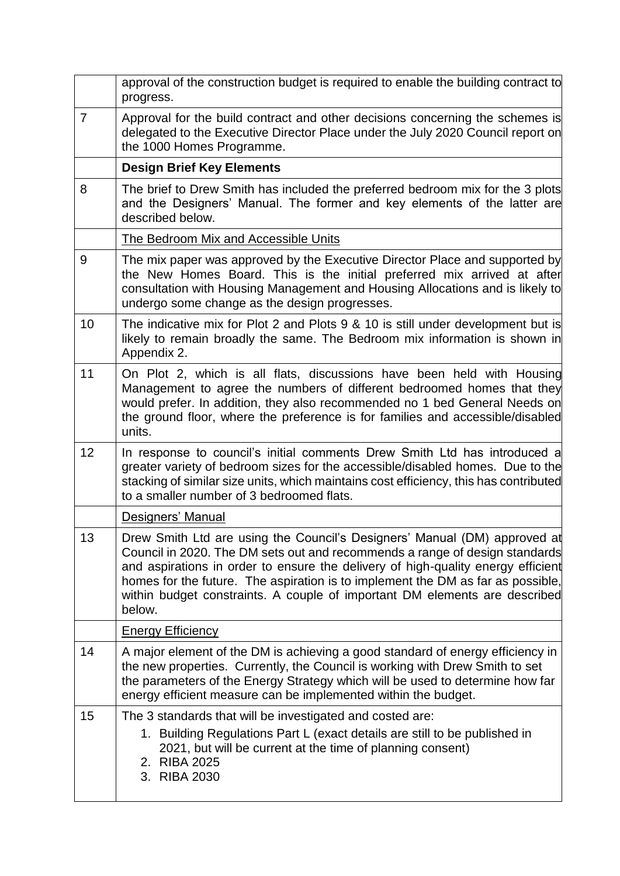|                | approval of the construction budget is required to enable the building contract to<br>progress.                                                                                                                                                                                                                                                                                                                         |
|----------------|-------------------------------------------------------------------------------------------------------------------------------------------------------------------------------------------------------------------------------------------------------------------------------------------------------------------------------------------------------------------------------------------------------------------------|
| $\overline{7}$ | Approval for the build contract and other decisions concerning the schemes is<br>delegated to the Executive Director Place under the July 2020 Council report on<br>the 1000 Homes Programme.                                                                                                                                                                                                                           |
|                | <b>Design Brief Key Elements</b>                                                                                                                                                                                                                                                                                                                                                                                        |
| 8              | The brief to Drew Smith has included the preferred bedroom mix for the 3 plots<br>and the Designers' Manual. The former and key elements of the latter are<br>described below.                                                                                                                                                                                                                                          |
|                | The Bedroom Mix and Accessible Units                                                                                                                                                                                                                                                                                                                                                                                    |
| 9              | The mix paper was approved by the Executive Director Place and supported by<br>the New Homes Board. This is the initial preferred mix arrived at after<br>consultation with Housing Management and Housing Allocations and is likely to<br>undergo some change as the design progresses.                                                                                                                                |
| 10             | The indicative mix for Plot 2 and Plots 9 & 10 is still under development but is<br>likely to remain broadly the same. The Bedroom mix information is shown in<br>Appendix 2.                                                                                                                                                                                                                                           |
| 11             | On Plot 2, which is all flats, discussions have been held with Housing<br>Management to agree the numbers of different bedroomed homes that they<br>would prefer. In addition, they also recommended no 1 bed General Needs on<br>the ground floor, where the preference is for families and accessible/disabled<br>units.                                                                                              |
| 12             | In response to council's initial comments Drew Smith Ltd has introduced a<br>greater variety of bedroom sizes for the accessible/disabled homes. Due to the<br>stacking of similar size units, which maintains cost efficiency, this has contributed<br>to a smaller number of 3 bedroomed flats.                                                                                                                       |
|                | Designers' Manual                                                                                                                                                                                                                                                                                                                                                                                                       |
| 13             | Drew Smith Ltd are using the Council's Designers' Manual (DM) approved at<br>Council in 2020. The DM sets out and recommends a range of design standards<br>and aspirations in order to ensure the delivery of high-quality energy efficient<br>homes for the future. The aspiration is to implement the DM as far as possible,<br>within budget constraints. A couple of important DM elements are described<br>below. |
|                | <b>Energy Efficiency</b>                                                                                                                                                                                                                                                                                                                                                                                                |
| 14             | A major element of the DM is achieving a good standard of energy efficiency in<br>the new properties. Currently, the Council is working with Drew Smith to set<br>the parameters of the Energy Strategy which will be used to determine how far<br>energy efficient measure can be implemented within the budget.                                                                                                       |
| 15             | The 3 standards that will be investigated and costed are:<br>1. Building Regulations Part L (exact details are still to be published in<br>2021, but will be current at the time of planning consent)<br>2. RIBA 2025<br>3. RIBA 2030                                                                                                                                                                                   |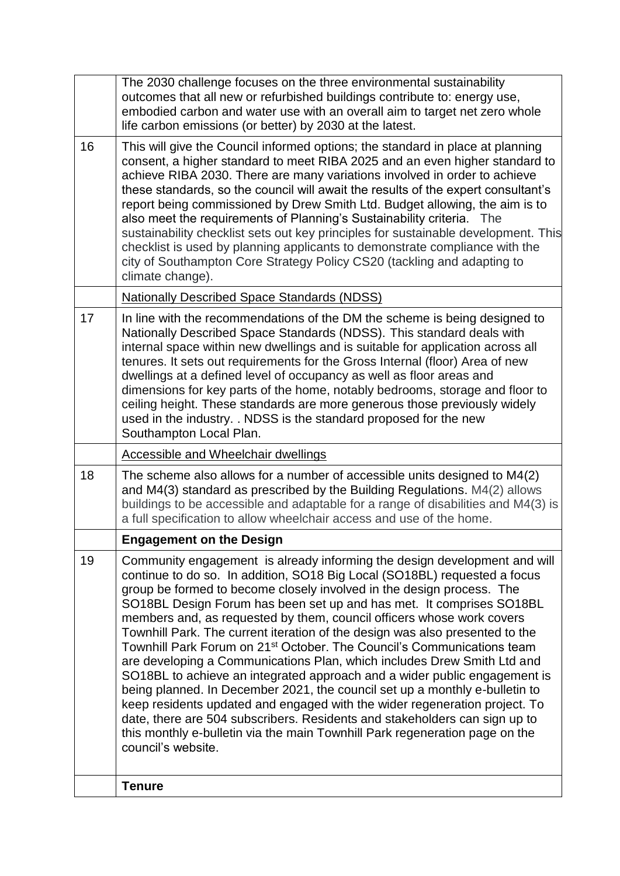|    | The 2030 challenge focuses on the three environmental sustainability<br>outcomes that all new or refurbished buildings contribute to: energy use,<br>embodied carbon and water use with an overall aim to target net zero whole<br>life carbon emissions (or better) by 2030 at the latest.                                                                                                                                                                                                                                                                                                                                                                                                                                                                                                                                                                                                                                                                                                                                                                    |
|----|----------------------------------------------------------------------------------------------------------------------------------------------------------------------------------------------------------------------------------------------------------------------------------------------------------------------------------------------------------------------------------------------------------------------------------------------------------------------------------------------------------------------------------------------------------------------------------------------------------------------------------------------------------------------------------------------------------------------------------------------------------------------------------------------------------------------------------------------------------------------------------------------------------------------------------------------------------------------------------------------------------------------------------------------------------------|
| 16 | This will give the Council informed options; the standard in place at planning<br>consent, a higher standard to meet RIBA 2025 and an even higher standard to<br>achieve RIBA 2030. There are many variations involved in order to achieve<br>these standards, so the council will await the results of the expert consultant's<br>report being commissioned by Drew Smith Ltd. Budget allowing, the aim is to<br>also meet the requirements of Planning's Sustainability criteria. The<br>sustainability checklist sets out key principles for sustainable development. This<br>checklist is used by planning applicants to demonstrate compliance with the<br>city of Southampton Core Strategy Policy CS20 (tackling and adapting to<br>climate change).                                                                                                                                                                                                                                                                                                    |
|    | <b>Nationally Described Space Standards (NDSS)</b>                                                                                                                                                                                                                                                                                                                                                                                                                                                                                                                                                                                                                                                                                                                                                                                                                                                                                                                                                                                                             |
| 17 | In line with the recommendations of the DM the scheme is being designed to<br>Nationally Described Space Standards (NDSS). This standard deals with<br>internal space within new dwellings and is suitable for application across all<br>tenures. It sets out requirements for the Gross Internal (floor) Area of new<br>dwellings at a defined level of occupancy as well as floor areas and<br>dimensions for key parts of the home, notably bedrooms, storage and floor to<br>ceiling height. These standards are more generous those previously widely<br>used in the industry. . NDSS is the standard proposed for the new<br>Southampton Local Plan.                                                                                                                                                                                                                                                                                                                                                                                                     |
|    | <b>Accessible and Wheelchair dwellings</b>                                                                                                                                                                                                                                                                                                                                                                                                                                                                                                                                                                                                                                                                                                                                                                                                                                                                                                                                                                                                                     |
| 18 | The scheme also allows for a number of accessible units designed to M4(2)<br>and M4(3) standard as prescribed by the Building Regulations. M4(2) allows<br>buildings to be accessible and adaptable for a range of disabilities and M4(3) is<br>a full specification to allow wheelchair access and use of the home.                                                                                                                                                                                                                                                                                                                                                                                                                                                                                                                                                                                                                                                                                                                                           |
|    | <b>Engagement on the Design</b>                                                                                                                                                                                                                                                                                                                                                                                                                                                                                                                                                                                                                                                                                                                                                                                                                                                                                                                                                                                                                                |
| 19 | Community engagement is already informing the design development and will<br>continue to do so. In addition, SO18 Big Local (SO18BL) requested a focus<br>group be formed to become closely involved in the design process. The<br>SO18BL Design Forum has been set up and has met. It comprises SO18BL<br>members and, as requested by them, council officers whose work covers<br>Townhill Park. The current iteration of the design was also presented to the<br>Townhill Park Forum on 21 <sup>st</sup> October. The Council's Communications team<br>are developing a Communications Plan, which includes Drew Smith Ltd and<br>SO18BL to achieve an integrated approach and a wider public engagement is<br>being planned. In December 2021, the council set up a monthly e-bulletin to<br>keep residents updated and engaged with the wider regeneration project. To<br>date, there are 504 subscribers. Residents and stakeholders can sign up to<br>this monthly e-bulletin via the main Townhill Park regeneration page on the<br>council's website. |
|    | <b>Tenure</b>                                                                                                                                                                                                                                                                                                                                                                                                                                                                                                                                                                                                                                                                                                                                                                                                                                                                                                                                                                                                                                                  |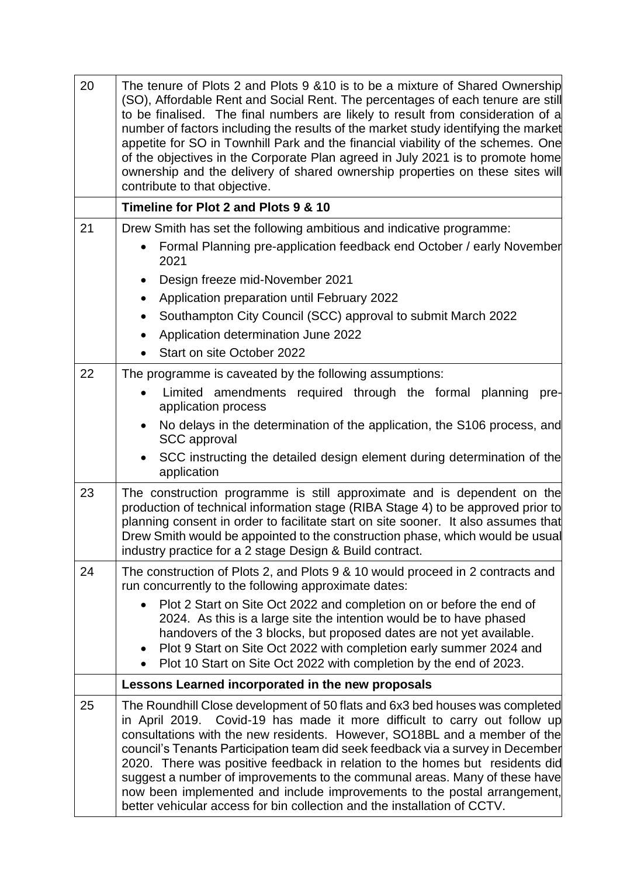| 20 | The tenure of Plots 2 and Plots 9 & 10 is to be a mixture of Shared Ownership<br>(SO), Affordable Rent and Social Rent. The percentages of each tenure are still<br>to be finalised. The final numbers are likely to result from consideration of a<br>number of factors including the results of the market study identifying the market<br>appetite for SO in Townhill Park and the financial viability of the schemes. One<br>of the objectives in the Corporate Plan agreed in July 2021 is to promote home<br>ownership and the delivery of shared ownership properties on these sites will<br>contribute to that objective.                  |
|----|----------------------------------------------------------------------------------------------------------------------------------------------------------------------------------------------------------------------------------------------------------------------------------------------------------------------------------------------------------------------------------------------------------------------------------------------------------------------------------------------------------------------------------------------------------------------------------------------------------------------------------------------------|
|    | Timeline for Plot 2 and Plots 9 & 10                                                                                                                                                                                                                                                                                                                                                                                                                                                                                                                                                                                                               |
| 21 | Drew Smith has set the following ambitious and indicative programme:                                                                                                                                                                                                                                                                                                                                                                                                                                                                                                                                                                               |
|    | Formal Planning pre-application feedback end October / early November<br>2021                                                                                                                                                                                                                                                                                                                                                                                                                                                                                                                                                                      |
|    | Design freeze mid-November 2021<br>$\bullet$                                                                                                                                                                                                                                                                                                                                                                                                                                                                                                                                                                                                       |
|    | Application preparation until February 2022<br>$\bullet$                                                                                                                                                                                                                                                                                                                                                                                                                                                                                                                                                                                           |
|    | Southampton City Council (SCC) approval to submit March 2022<br>$\bullet$                                                                                                                                                                                                                                                                                                                                                                                                                                                                                                                                                                          |
|    | Application determination June 2022<br>$\bullet$                                                                                                                                                                                                                                                                                                                                                                                                                                                                                                                                                                                                   |
|    | Start on site October 2022<br>$\bullet$                                                                                                                                                                                                                                                                                                                                                                                                                                                                                                                                                                                                            |
| 22 | The programme is caveated by the following assumptions:                                                                                                                                                                                                                                                                                                                                                                                                                                                                                                                                                                                            |
|    | Limited amendments required through the formal planning<br>pre-<br>application process                                                                                                                                                                                                                                                                                                                                                                                                                                                                                                                                                             |
|    | No delays in the determination of the application, the S106 process, and<br><b>SCC</b> approval                                                                                                                                                                                                                                                                                                                                                                                                                                                                                                                                                    |
|    | SCC instructing the detailed design element during determination of the<br>application                                                                                                                                                                                                                                                                                                                                                                                                                                                                                                                                                             |
| 23 | The construction programme is still approximate and is dependent on the<br>production of technical information stage (RIBA Stage 4) to be approved prior to<br>planning consent in order to facilitate start on site sooner. It also assumes that<br>Drew Smith would be appointed to the construction phase, which would be usual<br>industry practice for a 2 stage Design & Build contract.                                                                                                                                                                                                                                                     |
| 24 | The construction of Plots 2, and Plots 9 & 10 would proceed in 2 contracts and<br>run concurrently to the following approximate dates:                                                                                                                                                                                                                                                                                                                                                                                                                                                                                                             |
|    | Plot 2 Start on Site Oct 2022 and completion on or before the end of<br>2024. As this is a large site the intention would be to have phased<br>handovers of the 3 blocks, but proposed dates are not yet available.<br>Plot 9 Start on Site Oct 2022 with completion early summer 2024 and<br>Plot 10 Start on Site Oct 2022 with completion by the end of 2023.                                                                                                                                                                                                                                                                                   |
|    | Lessons Learned incorporated in the new proposals                                                                                                                                                                                                                                                                                                                                                                                                                                                                                                                                                                                                  |
| 25 | The Roundhill Close development of 50 flats and 6x3 bed houses was completed<br>Covid-19 has made it more difficult to carry out follow up<br>in April 2019.<br>consultations with the new residents. However, SO18BL and a member of the<br>council's Tenants Participation team did seek feedback via a survey in December<br>2020. There was positive feedback in relation to the homes but residents did<br>suggest a number of improvements to the communal areas. Many of these have<br>now been implemented and include improvements to the postal arrangement,<br>better vehicular access for bin collection and the installation of CCTV. |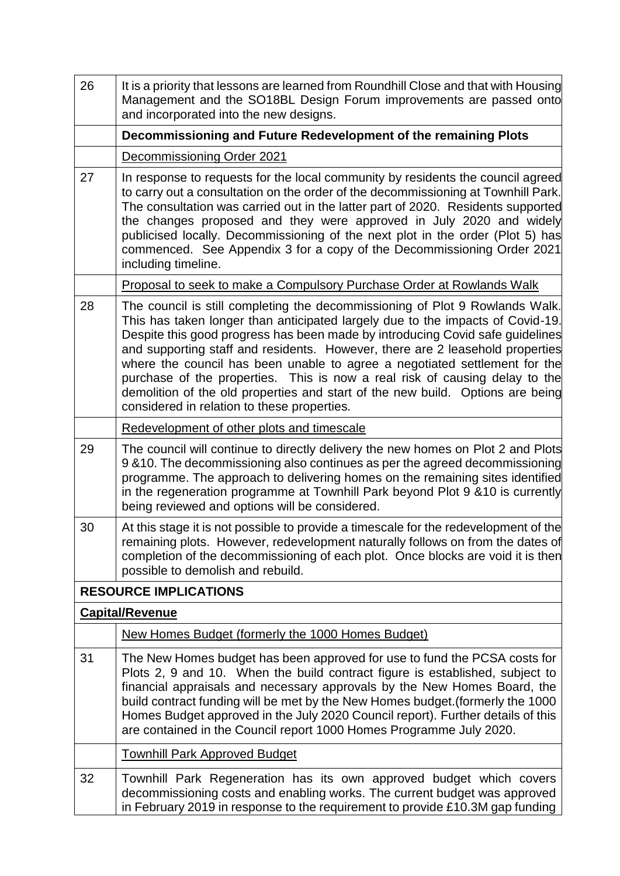| 26 | It is a priority that lessons are learned from Roundhill Close and that with Housing<br>Management and the SO18BL Design Forum improvements are passed onto<br>and incorporated into the new designs.                                                                                                                                                                                                                                                                                                                                                                                                                          |  |  |  |
|----|--------------------------------------------------------------------------------------------------------------------------------------------------------------------------------------------------------------------------------------------------------------------------------------------------------------------------------------------------------------------------------------------------------------------------------------------------------------------------------------------------------------------------------------------------------------------------------------------------------------------------------|--|--|--|
|    | Decommissioning and Future Redevelopment of the remaining Plots                                                                                                                                                                                                                                                                                                                                                                                                                                                                                                                                                                |  |  |  |
|    | Decommissioning Order 2021                                                                                                                                                                                                                                                                                                                                                                                                                                                                                                                                                                                                     |  |  |  |
| 27 | In response to requests for the local community by residents the council agreed<br>to carry out a consultation on the order of the decommissioning at Townhill Park.<br>The consultation was carried out in the latter part of 2020. Residents supported<br>the changes proposed and they were approved in July 2020 and widely<br>publicised locally. Decommissioning of the next plot in the order (Plot 5) has<br>commenced. See Appendix 3 for a copy of the Decommissioning Order 2021<br>including timeline.                                                                                                             |  |  |  |
|    | Proposal to seek to make a Compulsory Purchase Order at Rowlands Walk                                                                                                                                                                                                                                                                                                                                                                                                                                                                                                                                                          |  |  |  |
| 28 | The council is still completing the decommissioning of Plot 9 Rowlands Walk.<br>This has taken longer than anticipated largely due to the impacts of Covid-19.<br>Despite this good progress has been made by introducing Covid safe guidelines<br>and supporting staff and residents. However, there are 2 leasehold properties<br>where the council has been unable to agree a negotiated settlement for the<br>purchase of the properties. This is now a real risk of causing delay to the<br>demolition of the old properties and start of the new build. Options are being<br>considered in relation to these properties. |  |  |  |
|    | Redevelopment of other plots and timescale                                                                                                                                                                                                                                                                                                                                                                                                                                                                                                                                                                                     |  |  |  |
| 29 | The council will continue to directly delivery the new homes on Plot 2 and Plots<br>9 & 10. The decommissioning also continues as per the agreed decommissioning<br>programme. The approach to delivering homes on the remaining sites identified<br>in the regeneration programme at Townhill Park beyond Plot 9 &10 is currently<br>being reviewed and options will be considered.                                                                                                                                                                                                                                           |  |  |  |
| 30 | At this stage it is not possible to provide a timescale for the redevelopment of the<br>remaining plots. However, redevelopment naturally follows on from the dates of<br>completion of the decommissioning of each plot. Once blocks are void it is then<br>possible to demolish and rebuild.                                                                                                                                                                                                                                                                                                                                 |  |  |  |
|    | <b>RESOURCE IMPLICATIONS</b>                                                                                                                                                                                                                                                                                                                                                                                                                                                                                                                                                                                                   |  |  |  |
|    | <b>Capital/Revenue</b>                                                                                                                                                                                                                                                                                                                                                                                                                                                                                                                                                                                                         |  |  |  |
|    | New Homes Budget (formerly the 1000 Homes Budget)                                                                                                                                                                                                                                                                                                                                                                                                                                                                                                                                                                              |  |  |  |
| 31 | The New Homes budget has been approved for use to fund the PCSA costs for<br>Plots 2, 9 and 10. When the build contract figure is established, subject to<br>financial appraisals and necessary approvals by the New Homes Board, the<br>build contract funding will be met by the New Homes budget. (formerly the 1000<br>Homes Budget approved in the July 2020 Council report). Further details of this<br>are contained in the Council report 1000 Homes Programme July 2020.                                                                                                                                              |  |  |  |
|    | <b>Townhill Park Approved Budget</b>                                                                                                                                                                                                                                                                                                                                                                                                                                                                                                                                                                                           |  |  |  |
| 32 | Townhill Park Regeneration has its own approved budget which covers<br>decommissioning costs and enabling works. The current budget was approved<br>in February 2019 in response to the requirement to provide £10.3M gap funding                                                                                                                                                                                                                                                                                                                                                                                              |  |  |  |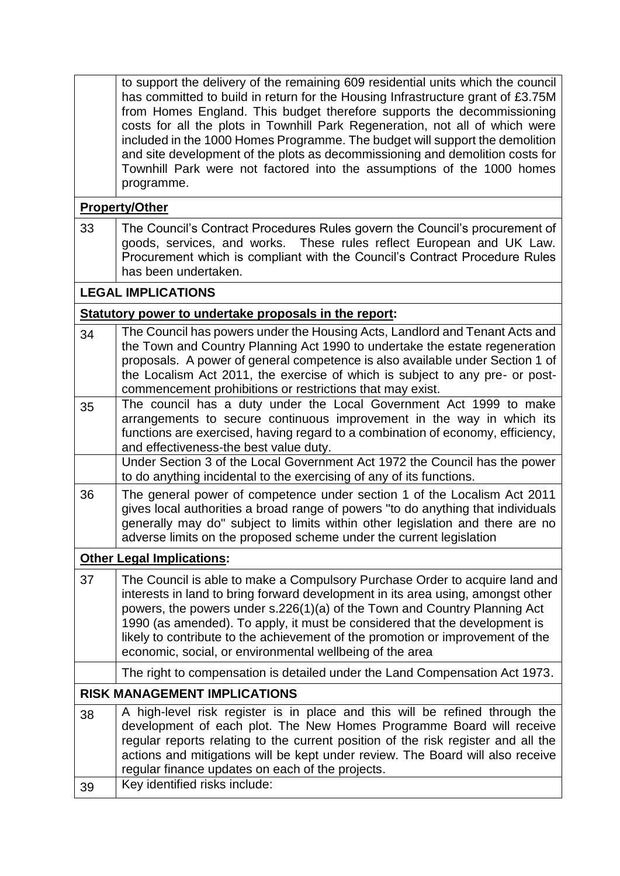|                                     | to support the delivery of the remaining 609 residential units which the council<br>has committed to build in return for the Housing Infrastructure grant of £3.75M<br>from Homes England. This budget therefore supports the decommissioning<br>costs for all the plots in Townhill Park Regeneration, not all of which were<br>included in the 1000 Homes Programme. The budget will support the demolition<br>and site development of the plots as decommissioning and demolition costs for<br>Townhill Park were not factored into the assumptions of the 1000 homes<br>programme. |  |  |
|-------------------------------------|----------------------------------------------------------------------------------------------------------------------------------------------------------------------------------------------------------------------------------------------------------------------------------------------------------------------------------------------------------------------------------------------------------------------------------------------------------------------------------------------------------------------------------------------------------------------------------------|--|--|
|                                     | <b>Property/Other</b>                                                                                                                                                                                                                                                                                                                                                                                                                                                                                                                                                                  |  |  |
| 33                                  | The Council's Contract Procedures Rules govern the Council's procurement of<br>goods, services, and works. These rules reflect European and UK Law.<br>Procurement which is compliant with the Council's Contract Procedure Rules<br>has been undertaken.                                                                                                                                                                                                                                                                                                                              |  |  |
|                                     | <b>LEGAL IMPLICATIONS</b>                                                                                                                                                                                                                                                                                                                                                                                                                                                                                                                                                              |  |  |
|                                     | Statutory power to undertake proposals in the report:                                                                                                                                                                                                                                                                                                                                                                                                                                                                                                                                  |  |  |
| 34                                  | The Council has powers under the Housing Acts, Landlord and Tenant Acts and<br>the Town and Country Planning Act 1990 to undertake the estate regeneration<br>proposals. A power of general competence is also available under Section 1 of<br>the Localism Act 2011, the exercise of which is subject to any pre- or post-<br>commencement prohibitions or restrictions that may exist.                                                                                                                                                                                               |  |  |
| 35                                  | The council has a duty under the Local Government Act 1999 to make<br>arrangements to secure continuous improvement in the way in which its<br>functions are exercised, having regard to a combination of economy, efficiency,<br>and effectiveness-the best value duty.                                                                                                                                                                                                                                                                                                               |  |  |
|                                     | Under Section 3 of the Local Government Act 1972 the Council has the power<br>to do anything incidental to the exercising of any of its functions.                                                                                                                                                                                                                                                                                                                                                                                                                                     |  |  |
| 36                                  | The general power of competence under section 1 of the Localism Act 2011<br>gives local authorities a broad range of powers "to do anything that individuals<br>generally may do" subject to limits within other legislation and there are no<br>adverse limits on the proposed scheme under the current legislation                                                                                                                                                                                                                                                                   |  |  |
|                                     | <b>Other Legal Implications:</b>                                                                                                                                                                                                                                                                                                                                                                                                                                                                                                                                                       |  |  |
| 37                                  | The Council is able to make a Compulsory Purchase Order to acquire land and<br>interests in land to bring forward development in its area using, amongst other<br>powers, the powers under s.226(1)(a) of the Town and Country Planning Act<br>1990 (as amended). To apply, it must be considered that the development is<br>likely to contribute to the achievement of the promotion or improvement of the<br>economic, social, or environmental wellbeing of the area                                                                                                                |  |  |
|                                     | The right to compensation is detailed under the Land Compensation Act 1973.                                                                                                                                                                                                                                                                                                                                                                                                                                                                                                            |  |  |
| <b>RISK MANAGEMENT IMPLICATIONS</b> |                                                                                                                                                                                                                                                                                                                                                                                                                                                                                                                                                                                        |  |  |
| 38                                  | A high-level risk register is in place and this will be refined through the<br>development of each plot. The New Homes Programme Board will receive<br>regular reports relating to the current position of the risk register and all the<br>actions and mitigations will be kept under review. The Board will also receive<br>regular finance updates on each of the projects.                                                                                                                                                                                                         |  |  |
| 39                                  | Key identified risks include:                                                                                                                                                                                                                                                                                                                                                                                                                                                                                                                                                          |  |  |